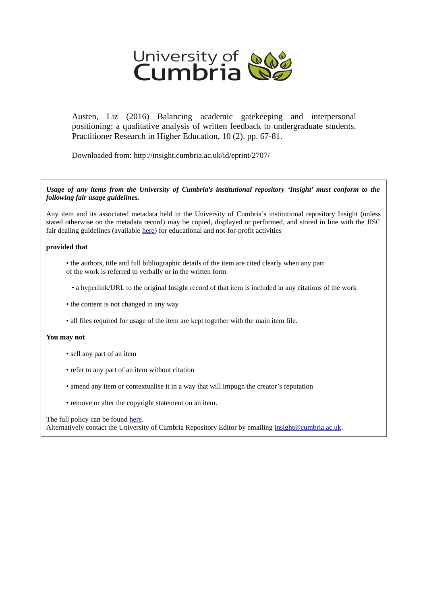

Austen, Liz (2016) Balancing academic gatekeeping and interpersonal positioning: a qualitative analysis of written feedback to undergraduate students. Practitioner Research in Higher Education, 10 (2). pp. 67-81.

Downloaded from: http://insight.cumbria.ac.uk/id/eprint/2707/

*Usage of any items from the University of Cumbria's institutional repository 'Insight' must conform to the following fair usage guidelines.*

Any item and its associated metadata held in the University of Cumbria's institutional repository Insight (unless stated otherwise on the metadata record) may be copied, displayed or performed, and stored in line with the JISC fair dealing guidelines (available [here\)](http://www.ukoln.ac.uk/services/elib/papers/pa/fair/) for educational and not-for-profit activities

#### **provided that**

- the authors, title and full bibliographic details of the item are cited clearly when any part of the work is referred to verbally or in the written form
	- a hyperlink/URL to the original Insight record of that item is included in any citations of the work
- the content is not changed in any way
- all files required for usage of the item are kept together with the main item file.

#### **You may not**

- sell any part of an item
- refer to any part of an item without citation
- amend any item or contextualise it in a way that will impugn the creator's reputation
- remove or alter the copyright statement on an item.

#### The full policy can be found [here.](http://insight.cumbria.ac.uk/legal.html#section5)

Alternatively contact the University of Cumbria Repository Editor by emailing [insight@cumbria.ac.uk.](mailto:insight@cumbria.ac.uk)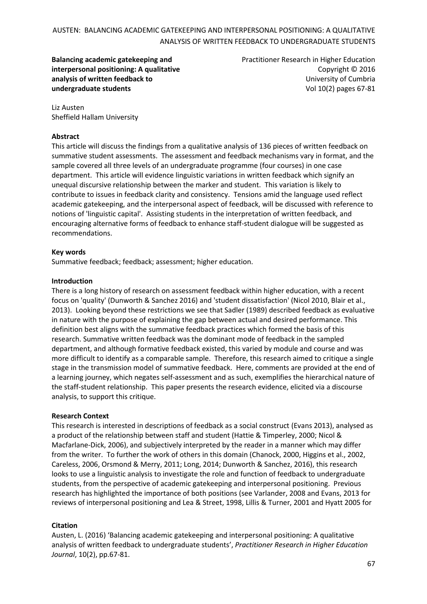**Balancing academic gatekeeping and interpersonal positioning: A qualitative analysis of written feedback to undergraduate students**

Practitioner Research in Higher Education Copyright © 2016 University of Cumbria Vol 10(2) pages 67-81

Liz Austen Sheffield Hallam University

### **Abstract**

This article will discuss the findings from a qualitative analysis of 136 pieces of written feedback on summative student assessments. The assessment and feedback mechanisms vary in format, and the sample covered all three levels of an undergraduate programme (four courses) in one case department. This article will evidence linguistic variations in written feedback which signify an unequal discursive relationship between the marker and student. This variation is likely to contribute to issues in feedback clarity and consistency. Tensions amid the language used reflect academic gatekeeping, and the interpersonal aspect of feedback, will be discussed with reference to notions of 'linguistic capital'. Assisting students in the interpretation of written feedback, and encouraging alternative forms of feedback to enhance staff-student dialogue will be suggested as recommendations.

### **Key words**

Summative feedback; feedback; assessment; higher education.

### **Introduction**

There is a long history of research on assessment feedback within higher education, with a recent focus on 'quality' (Dunworth & Sanchez 2016) and 'student dissatisfaction' (Nicol 2010, Blair et al., 2013). Looking beyond these restrictions we see that Sadler (1989) described feedback as evaluative in nature with the purpose of explaining the gap between actual and desired performance. This definition best aligns with the summative feedback practices which formed the basis of this research. Summative written feedback was the dominant mode of feedback in the sampled department, and although formative feedback existed, this varied by module and course and was more difficult to identify as a comparable sample. Therefore, this research aimed to critique a single stage in the transmission model of summative feedback. Here, comments are provided at the end of a learning journey, which negates self-assessment and as such, exemplifies the hierarchical nature of the staff-student relationship. This paper presents the research evidence, elicited via a discourse analysis, to support this critique.

### **Research Context**

This research is interested in descriptions of feedback as a social construct (Evans 2013), analysed as a product of the relationship between staff and student (Hattie & Timperley, 2000; Nicol & Macfarlane-Dick, 2006), and subjectively interpreted by the reader in a manner which may differ from the writer. To further the work of others in this domain (Chanock, 2000, Higgins et al., 2002, Careless, 2006, Orsmond & Merry, 2011; Long, 2014; Dunworth & Sanchez, 2016), this research looks to use a linguistic analysis to investigate the role and function of feedback to undergraduate students, from the perspective of academic gatekeeping and interpersonal positioning. Previous research has highlighted the importance of both positions (see Varlander, 2008 and Evans, 2013 for reviews of interpersonal positioning and Lea & Street, 1998, Lillis & Turner, 2001 and Hyatt 2005 for

### **Citation**

Austen, L. (2016) 'Balancing academic gatekeeping and interpersonal positioning: A qualitative analysis of written feedback to undergraduate students', *Practitioner Research in Higher Education Journal*, 10(2), pp.67-81.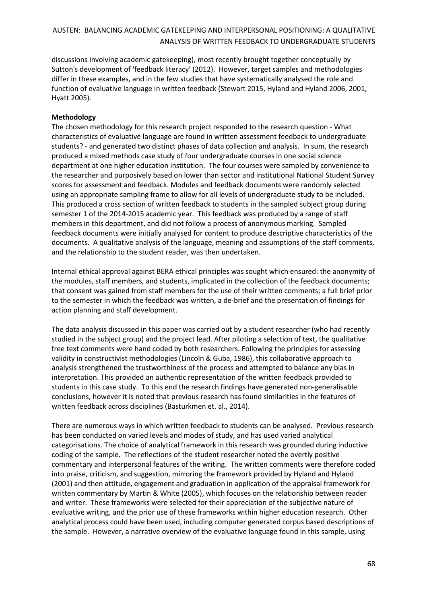discussions involving academic gatekeeping), most recently brought together conceptually by Sutton's development of 'feedback literacy' (2012). However, target samples and methodologies differ in these examples, and in the few studies that have systematically analysed the role and function of evaluative language in written feedback (Stewart 2015, Hyland and Hyland 2006, 2001, Hyatt 2005).

### **Methodology**

The chosen methodology for this research project responded to the research question - What characteristics of evaluative language are found in written assessment feedback to undergraduate students? - and generated two distinct phases of data collection and analysis. In sum, the research produced a mixed methods case study of four undergraduate courses in one social science department at one higher education institution. The four courses were sampled by convenience to the researcher and purposively based on lower than sector and institutional National Student Survey scores for assessment and feedback. Modules and feedback documents were randomly selected using an appropriate sampling frame to allow for all levels of undergraduate study to be included. This produced a cross section of written feedback to students in the sampled subject group during semester 1 of the 2014-2015 academic year. This feedback was produced by a range of staff members in this department, and did not follow a process of anonymous marking. Sampled feedback documents were initially analysed for content to produce descriptive characteristics of the documents. A qualitative analysis of the language, meaning and assumptions of the staff comments, and the relationship to the student reader, was then undertaken.

Internal ethical approval against BERA ethical principles was sought which ensured: the anonymity of the modules, staff members, and students, implicated in the collection of the feedback documents; that consent was gained from staff members for the use of their written comments; a full brief prior to the semester in which the feedback was written, a de-brief and the presentation of findings for action planning and staff development.

The data analysis discussed in this paper was carried out by a student researcher (who had recently studied in the subject group) and the project lead. After piloting a selection of text, the qualitative free text comments were hand coded by both researchers. Following the principles for assessing validity in constructivist methodologies (Lincoln & Guba, 1986), this collaborative approach to analysis strengthened the trustworthiness of the process and attempted to balance any bias in interpretation. This provided an authentic representation of the written feedback provided to students in this case study. To this end the research findings have generated non-generalisable conclusions, however it is noted that previous research has found similarities in the features of written feedback across disciplines (Basturkmen et. al., 2014).

There are numerous ways in which written feedback to students can be analysed. Previous research has been conducted on varied levels and modes of study, and has used varied analytical categorisations. The choice of analytical framework in this research was grounded during inductive coding of the sample. The reflections of the student researcher noted the overtly positive commentary and interpersonal features of the writing. The written comments were therefore coded into praise, criticism, and suggestion, mirroring the framework provided by Hyland and Hyland (2001) and then attitude, engagement and graduation in application of the appraisal framework for written commentary by Martin & White (2005), which focuses on the relationship between reader and writer. These frameworks were selected for their appreciation of the subjective nature of evaluative writing, and the prior use of these frameworks within higher education research. Other analytical process could have been used, including computer generated corpus based descriptions of the sample. However, a narrative overview of the evaluative language found in this sample, using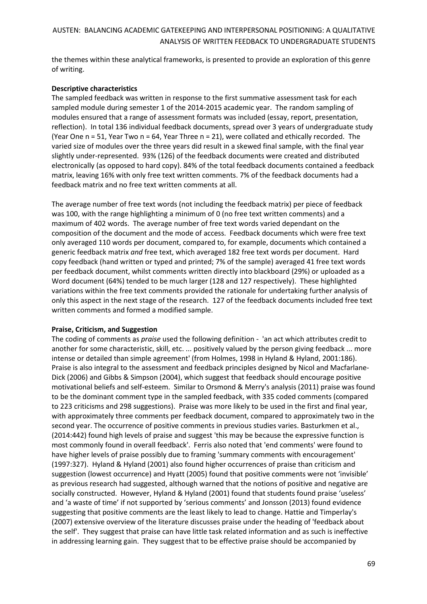the themes within these analytical frameworks, is presented to provide an exploration of this genre of writing.

### **Descriptive characteristics**

The sampled feedback was written in response to the first summative assessment task for each sampled module during semester 1 of the 2014-2015 academic year. The random sampling of modules ensured that a range of assessment formats was included (essay, report, presentation, reflection). In total 136 individual feedback documents, spread over 3 years of undergraduate study (Year One n = 51, Year Two n = 64, Year Three n = 21), were collated and ethically recorded. The varied size of modules over the three years did result in a skewed final sample, with the final year slightly under-represented. 93% (126) of the feedback documents were created and distributed electronically (as opposed to hard copy). 84% of the total feedback documents contained a feedback matrix, leaving 16% with only free text written comments. 7% of the feedback documents had a feedback matrix and no free text written comments at all.

The average number of free text words (not including the feedback matrix) per piece of feedback was 100, with the range highlighting a minimum of 0 (no free text written comments) and a maximum of 402 words. The average number of free text words varied dependant on the composition of the document and the mode of access. Feedback documents which were free text only averaged 110 words per document, compared to, for example, documents which contained a generic feedback matrix *and* free text, which averaged 182 free text words per document. Hard copy feedback (hand written or typed and printed; 7% of the sample) averaged 41 free text words per feedback document, whilst comments written directly into blackboard (29%) or uploaded as a Word document (64%) tended to be much larger (128 and 127 respectively). These highlighted variations within the free text comments provided the rationale for undertaking further analysis of only this aspect in the next stage of the research. 127 of the feedback documents included free text written comments and formed a modified sample.

### **Praise, Criticism, and Suggestion**

The coding of comments as *praise* used the following definition - 'an act which attributes credit to another for some characteristic, skill, etc. ... positively valued by the person giving feedback ... more intense or detailed than simple agreement' (from Holmes, 1998 in Hyland & Hyland, 2001:186). Praise is also integral to the assessment and feedback principles designed by Nicol and Macfarlane-Dick (2006) and Gibbs & Simpson (2004), which suggest that feedback should encourage positive motivational beliefs and self-esteem. Similar to Orsmond & Merry's analysis (2011) praise was found to be the dominant comment type in the sampled feedback, with 335 coded comments (compared to 223 criticisms and 298 suggestions). Praise was more likely to be used in the first and final year, with approximately three comments per feedback document, compared to approximately two in the second year. The occurrence of positive comments in previous studies varies. Basturkmen et al., (2014:442) found high levels of praise and suggest 'this may be because the expressive function is most commonly found in overall feedback'. Ferris also noted that 'end comments' were found to have higher levels of praise possibly due to framing 'summary comments with encouragement' (1997:327). Hyland & Hyland (2001) also found higher occurrences of praise than criticism and suggestion (lowest occurrence) and Hyatt (2005) found that positive comments were not 'invisible' as previous research had suggested, although warned that the notions of positive and negative are socially constructed. However, Hyland & Hyland (2001) found that students found praise 'useless' and 'a waste of time' if not supported by 'serious comments' and Jonsson (2013) found evidence suggesting that positive comments are the least likely to lead to change. Hattie and Timperlay's (2007) extensive overview of the literature discusses praise under the heading of 'feedback about the self'. They suggest that praise can have little task related information and as such is ineffective in addressing learning gain. They suggest that to be effective praise should be accompanied by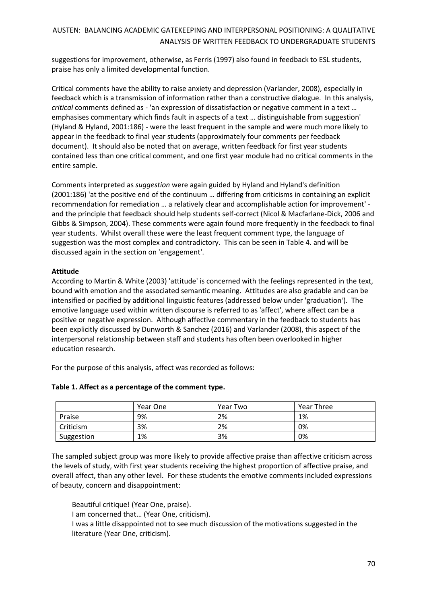suggestions for improvement, otherwise, as Ferris (1997) also found in feedback to ESL students, praise has only a limited developmental function.

Critical comments have the ability to raise anxiety and depression (Varlander, 2008), especially in feedback which is a transmission of information rather than a constructive dialogue. In this analysis, *critical* comments defined as - 'an expression of dissatisfaction or negative comment in a text … emphasises commentary which finds fault in aspects of a text … distinguishable from suggestion' (Hyland & Hyland, 2001:186) - were the least frequent in the sample and were much more likely to appear in the feedback to final year students (approximately four comments per feedback document). It should also be noted that on average, written feedback for first year students contained less than one critical comment, and one first year module had no critical comments in the entire sample.

Comments interpreted as *suggestion* were again guided by Hyland and Hyland's definition (2001:186) 'at the positive end of the continuum … differing from criticisms in containing an explicit recommendation for remediation … a relatively clear and accomplishable action for improvement' and the principle that feedback should help students self-correct (Nicol & Macfarlane-Dick, 2006 and Gibbs & Simpson, 2004). These comments were again found more frequently in the feedback to final year students. Whilst overall these were the least frequent comment type, the language of suggestion was the most complex and contradictory. This can be seen in Table 4. and will be discussed again in the section on 'engagement'.

### **Attitude**

According to Martin & White (2003) 'attitude' is concerned with the feelings represented in the text, bound with emotion and the associated semantic meaning. Attitudes are also gradable and can be intensified or pacified by additional linguistic features (addressed below under 'graduation*'*). The emotive language used within written discourse is referred to as 'affect', where affect can be a positive or negative expression. Although affective commentary in the feedback to students has been explicitly discussed by Dunworth & Sanchez (2016) and Varlander (2008), this aspect of the interpersonal relationship between staff and students has often been overlooked in higher education research.

For the purpose of this analysis, affect was recorded as follows:

| Table 1. Affect as a percentage of the comment type. |  |
|------------------------------------------------------|--|
|                                                      |  |

|            | Year One | Year Two | <b>Year Three</b> |
|------------|----------|----------|-------------------|
| Praise     | 9%       | 2%       | 1%                |
| Criticism  | 3%       | 2%       | 0%                |
| Suggestion | 1%       | 3%       | 0%                |

The sampled subject group was more likely to provide affective praise than affective criticism across the levels of study, with first year students receiving the highest proportion of affective praise, and overall affect, than any other level. For these students the emotive comments included expressions of beauty, concern and disappointment:

Beautiful critique! (Year One, praise). I am concerned that… (Year One, criticism). I was a little disappointed not to see much discussion of the motivations suggested in the literature (Year One, criticism).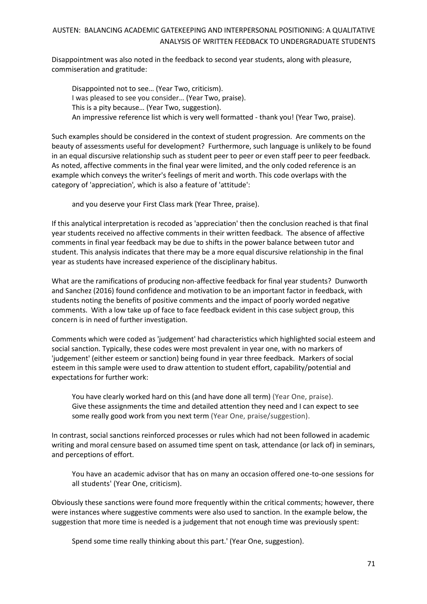Disappointment was also noted in the feedback to second year students, along with pleasure, commiseration and gratitude:

Disappointed not to see… (Year Two, criticism). I was pleased to see you consider… (Year Two, praise). This is a pity because… (Year Two, suggestion). An impressive reference list which is very well formatted - thank you! (Year Two, praise).

Such examples should be considered in the context of student progression. Are comments on the beauty of assessments useful for development? Furthermore, such language is unlikely to be found in an equal discursive relationship such as student peer to peer or even staff peer to peer feedback. As noted, affective comments in the final year were limited, and the only coded reference is an example which conveys the writer's feelings of merit and worth. This code overlaps with the category of 'appreciation'*,* which is also a feature of 'attitude':

and you deserve your First Class mark (Year Three, praise).

If this analytical interpretation is recoded as 'appreciation' then the conclusion reached is that final year students received no affective comments in their written feedback. The absence of affective comments in final year feedback may be due to shifts in the power balance between tutor and student. This analysis indicates that there may be a more equal discursive relationship in the final year as students have increased experience of the disciplinary habitus.

What are the ramifications of producing non-affective feedback for final year students? Dunworth and Sanchez (2016) found confidence and motivation to be an important factor in feedback, with students noting the benefits of positive comments and the impact of poorly worded negative comments. With a low take up of face to face feedback evident in this case subject group, this concern is in need of further investigation.

Comments which were coded as 'judgement' had characteristics which highlighted social esteem and social sanction. Typically, these codes were most prevalent in year one, with no markers of 'judgement' (either esteem or sanction) being found in year three feedback. Markers of social esteem in this sample were used to draw attention to student effort, capability/potential and expectations for further work:

You have clearly worked hard on this (and have done all term) (Year One, praise). Give these assignments the time and detailed attention they need and I can expect to see some really good work from you next term (Year One, praise/suggestion).

In contrast, social sanctions reinforced processes or rules which had not been followed in academic writing and moral censure based on assumed time spent on task, attendance (or lack of) in seminars, and perceptions of effort.

You have an academic advisor that has on many an occasion offered one-to-one sessions for all students' (Year One, criticism).

Obviously these sanctions were found more frequently within the critical comments; however, there were instances where suggestive comments were also used to sanction. In the example below, the suggestion that more time is needed is a judgement that not enough time was previously spent:

Spend some time really thinking about this part.' (Year One, suggestion).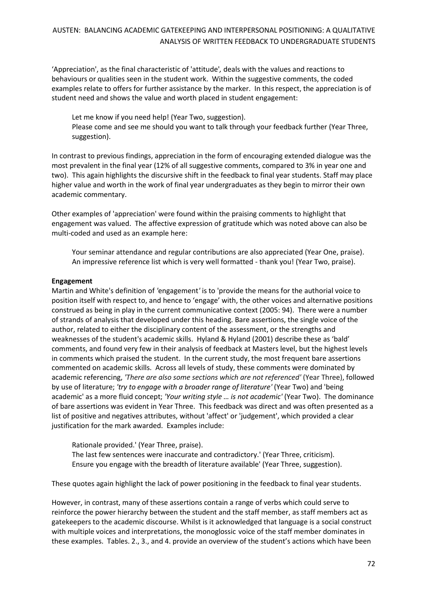'Appreciation', as the final characteristic of 'attitude'*,* deals with the values and reactions to behaviours or qualities seen in the student work. Within the suggestive comments, the coded examples relate to offers for further assistance by the marker. In this respect, the appreciation is of student need and shows the value and worth placed in student engagement:

Let me know if you need help! (Year Two, suggestion). Please come and see me should you want to talk through your feedback further (Year Three, suggestion).

In contrast to previous findings, appreciation in the form of encouraging extended dialogue was the most prevalent in the final year (12% of all suggestive comments, compared to 3% in year one and two). This again highlights the discursive shift in the feedback to final year students. Staff may place higher value and worth in the work of final year undergraduates as they begin to mirror their own academic commentary.

Other examples of 'appreciation' were found within the praising comments to highlight that engagement was valued. The affective expression of gratitude which was noted above can also be multi-coded and used as an example here:

Your seminar attendance and regular contributions are also appreciated (Year One, praise). An impressive reference list which is very well formatted - thank you! (Year Two, praise).

### **Engagement**

Martin and White's definition of *'*engagement*'* is to 'provide the means for the authorial voice to position itself with respect to, and hence to 'engage' with, the other voices and alternative positions construed as being in play in the current communicative context (2005: 94). There were a number of strands of analysis that developed under this heading. Bare assertions, the single voice of the author, related to either the disciplinary content of the assessment, or the strengths and weaknesses of the student's academic skills. Hyland & Hyland (2001) describe these as 'bald' comments, and found very few in their analysis of feedback at Masters level, but the highest levels in comments which praised the student. In the current study, the most frequent bare assertions commented on academic skills. Across all levels of study, these comments were dominated by academic referencing, *'There are also some sections which are not referenced'* (Year Three), followed by use of literature; *'try to engage with a broader range of literature'* (Year Two) and 'being academic' as a more fluid concept; *'Your writing style … is not academic'* (Year Two). The dominance of bare assertions was evident in Year Three. This feedback was direct and was often presented as a list of positive and negatives attributes, without 'affect' or 'judgement', which provided a clear justification for the mark awarded. Examples include:

Rationale provided.' (Year Three, praise). The last few sentences were inaccurate and contradictory.' (Year Three, criticism). Ensure you engage with the breadth of literature available' (Year Three, suggestion).

These quotes again highlight the lack of power positioning in the feedback to final year students.

However, in contrast, many of these assertions contain a range of verbs which could serve to reinforce the power hierarchy between the student and the staff member, as staff members act as gatekeepers to the academic discourse. Whilst is it acknowledged that language is a social construct with multiple voices and interpretations, the monoglossic voice of the staff member dominates in these examples. Tables. 2., 3., and 4. provide an overview of the student's actions which have been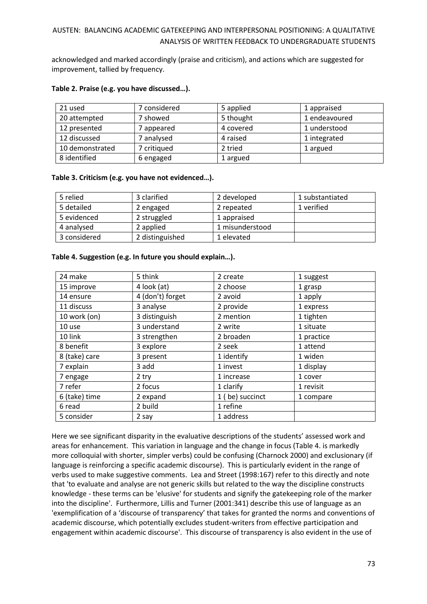acknowledged and marked accordingly (praise and criticism), and actions which are suggested for improvement, tallied by frequency.

| 21 used         | 7 considered | 5 applied | 1 appraised   |
|-----------------|--------------|-----------|---------------|
| 20 attempted    | 7 showed     | 5 thought | 1 endeavoured |
| 12 presented    | appeared     | 4 covered | 1 understood  |
| 12 discussed    | 7 analysed   | 4 raised  | 1 integrated  |
| 10 demonstrated | 7 critiqued  | 2 tried   | 1 argued      |
| 8 identified    | 6 engaged    | 1 argued  |               |

### **Table 2. Praise (e.g. you have discussed…).**

### **Table 3. Criticism (e.g. you have not evidenced…).**

| 5 relied     | 3 clarified     | 2 developed     | 1 substantiated |
|--------------|-----------------|-----------------|-----------------|
| 5 detailed   | 2 engaged       | 2 repeated      | 1 verified      |
| 5 evidenced  | 2 struggled     | 1 appraised     |                 |
| 4 analysed   | 2 applied       | 1 misunderstood |                 |
| 3 considered | 2 distinguished | 1 elevated      |                 |

### **Table 4. Suggestion (e.g. In future you should explain…).**

| 24 make       | 5 think          | 2 create        | 1 suggest  |
|---------------|------------------|-----------------|------------|
| 15 improve    | 4 look (at)      | 2 choose        | 1 grasp    |
| 14 ensure     | 4 (don't) forget | 2 avoid         | 1 apply    |
| 11 discuss    | 3 analyse        | 2 provide       | 1 express  |
| 10 work (on)  | 3 distinguish    | 2 mention       | 1 tighten  |
| 10 use        | 3 understand     | 2 write         | 1 situate  |
| 10 link       | 3 strengthen     | 2 broaden       | 1 practice |
| 8 benefit     | 3 explore        | 2 seek          | 1 attend   |
| 8 (take) care | 3 present        | 1 identify      | 1 widen    |
| 7 explain     | 3 add            | 1 invest        | 1 display  |
| 7 engage      | 2 try            | 1 increase      | 1 cover    |
| 7 refer       | 2 focus          | 1 clarify       | 1 revisit  |
| 6 (take) time | 2 expand         | 1 (be) succinct | 1 compare  |
| 6 read        | 2 build          | 1 refine        |            |
| 5 consider    | 2 say            | 1 address       |            |

Here we see significant disparity in the evaluative descriptions of the students' assessed work and areas for enhancement. This variation in language and the change in focus (Table 4. is markedly more colloquial with shorter, simpler verbs) could be confusing (Charnock 2000) and exclusionary (if language is reinforcing a specific academic discourse). This is particularly evident in the range of verbs used to make suggestive comments. Lea and Street (1998:167) refer to this directly and note that 'to evaluate and analyse are not generic skills but related to the way the discipline constructs knowledge - these terms can be 'elusive' for students and signify the gatekeeping role of the marker into the discipline'. Furthermore, Lillis and Turner (2001:341) describe this use of language as an 'exemplification of a 'discourse of transparency' that takes for granted the norms and conventions of academic discourse, which potentially excludes student-writers from effective participation and engagement within academic discourse'. This discourse of transparency is also evident in the use of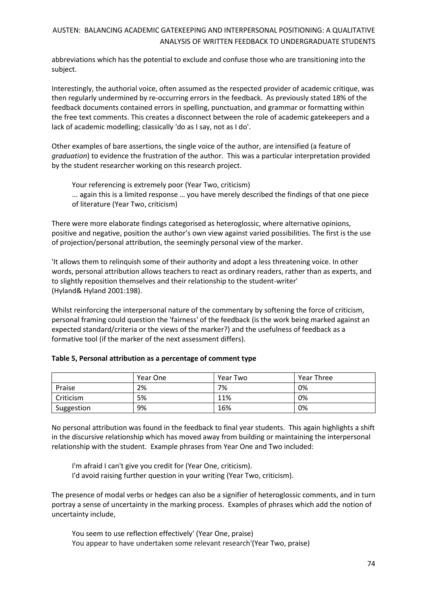abbreviations which has the potential to exclude and confuse those who are transitioning into the subject.

Interestingly, the authorial voice, often assumed as the respected provider of academic critique, was then regularly undermined by re-occurring errors in the feedback. As previously stated 18% of the feedback documents contained errors in spelling, punctuation, and grammar or formatting within the free text comments. This creates a disconnect between the role of academic gatekeepers and a lack of academic modelling; classically 'do as I say, not as I do'.

Other examples of bare assertions, the single voice of the author, are intensified (a feature of *graduation*) to evidence the frustration of the author. This was a particular interpretation provided by the student researcher working on this research project.

Your referencing is extremely poor (Year Two, criticism) ... again this is a limited response … you have merely described the findings of that one piece

of literature (Year Two, criticism)

There were more elaborate findings categorised as heteroglossic, where alternative opinions, positive and negative, position the author's own view against varied possibilities. The first is the use of projection/personal attribution, the seemingly personal view of the marker.

'It allows them to relinquish some of their authority and adopt a less threatening voice. In other words, personal attribution allows teachers to react as ordinary readers, rather than as experts, and to slightly reposition themselves and their relationship to the student-writer' (Hyland& Hyland 2001:198).

Whilst reinforcing the interpersonal nature of the commentary by softening the force of criticism, personal framing could question the 'fairness' of the feedback (is the work being marked against an expected standard/criteria or the views of the marker?) and the usefulness of feedback as a formative tool (if the marker of the next assessment differs).

|            | Year One | Year Two | Year Three |
|------------|----------|----------|------------|
| Praise     | 2%       | 7%       | 0%         |
| Criticism  | 5%       | 11%      | 0%         |
| Suggestion | 9%       | 16%      | 0%         |

### **Table 5, Personal attribution as a percentage of comment type**

No personal attribution was found in the feedback to final year students. This again highlights a shift in the discursive relationship which has moved away from building or maintaining the interpersonal relationship with the student. Example phrases from Year One and Two included:

I'm afraid I can't give you credit for (Year One, criticism). I'd avoid raising further question in your writing (Year Two, criticism).

The presence of modal verbs or hedges can also be a signifier of heteroglossic comments, and in turn portray a sense of uncertainty in the marking process. Examples of phrases which add the notion of uncertainty include,

You seem to use reflection effectively' (Year One, praise) You appear to have undertaken some relevant research'(Year Two, praise)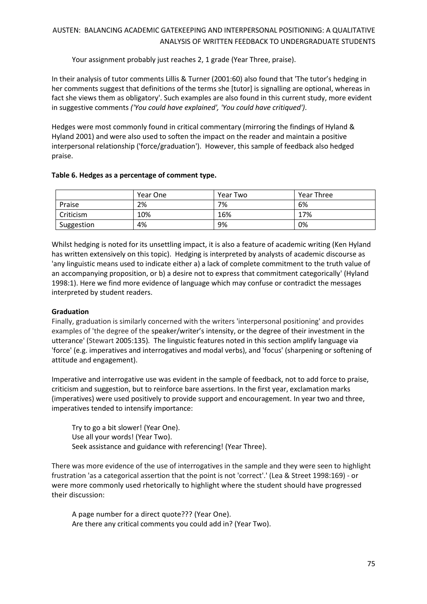Your assignment probably just reaches 2, 1 grade (Year Three, praise).

In their analysis of tutor comments Lillis & Turner (2001:60) also found that 'The tutor's hedging in her comments suggest that definitions of the terms she [tutor] is signalling are optional, whereas in fact she views them as obligatory'. Such examples are also found in this current study, more evident in suggestive comments *('You could have explained', 'You could have critiqued')*.

Hedges were most commonly found in critical commentary (mirroring the findings of Hyland & Hyland 2001) and were also used to soften the impact on the reader and maintain a positive interpersonal relationship ('force/graduation'). However, this sample of feedback also hedged praise.

## **Table 6. Hedges as a percentage of comment type.**

|            | Year One | Year Two | <b>Year Three</b> |
|------------|----------|----------|-------------------|
| Praise     | 2%       | 7%       | 6%                |
| Criticism  | 10%      | 16%      | 17%               |
| Suggestion | 4%       | 9%       | 0%                |

Whilst hedging is noted for its unsettling impact, it is also a feature of academic writing (Ken Hyland has written extensively on this topic). Hedging is interpreted by analysts of academic discourse as 'any linguistic means used to indicate either a) a lack of complete commitment to the truth value of an accompanying proposition, or b) a desire not to express that commitment categorically' (Hyland 1998:1). Here we find more evidence of language which may confuse or contradict the messages interpreted by student readers.

# **Graduation**

Finally, graduation is similarly concerned with the writers 'interpersonal positioning' and provides examples of 'the degree of the speaker/writer's intensity, or the degree of their investment in the utterance' (Stewart 2005:135)*.* The linguistic features noted in this section amplify language via 'force' (e.g. imperatives and interrogatives and modal verbs), and 'focus' (sharpening or softening of attitude and engagement).

Imperative and interrogative use was evident in the sample of feedback, not to add force to praise, criticism and suggestion, but to reinforce bare assertions. In the first year, exclamation marks (imperatives) were used positively to provide support and encouragement. In year two and three, imperatives tended to intensify importance:

Try to go a bit slower! (Year One). Use all your words! (Year Two). Seek assistance and guidance with referencing! (Year Three).

There was more evidence of the use of interrogatives in the sample and they were seen to highlight frustration 'as a categorical assertion that the point is not 'correct'.' (Lea & Street 1998:169) - or were more commonly used rhetorically to highlight where the student should have progressed their discussion:

A page number for a direct quote??? (Year One). Are there any critical comments you could add in? (Year Two).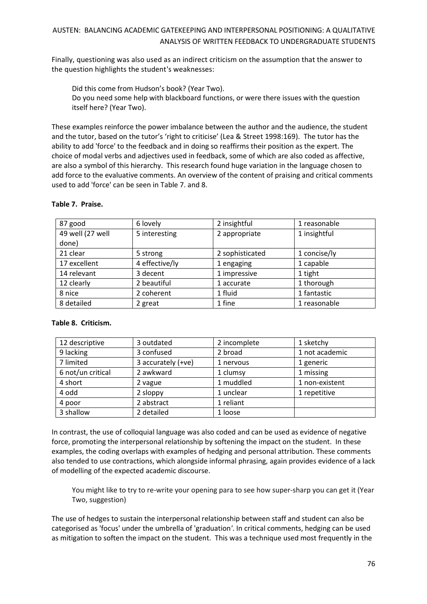Finally, questioning was also used as an indirect criticism on the assumption that the answer to the question highlights the student's weaknesses:

Did this come from Hudson's book? (Year Two). Do you need some help with blackboard functions, or were there issues with the question itself here? (Year Two).

These examples reinforce the power imbalance between the author and the audience, the student and the tutor, based on the tutor's 'right to criticise' (Lea & Street 1998:169). The tutor has the ability to add 'force' to the feedback and in doing so reaffirms their position as the expert. The choice of modal verbs and adjectives used in feedback, some of which are also coded as affective, are also a symbol of this hierarchy. This research found huge variation in the language chosen to add force to the evaluative comments. An overview of the content of praising and critical comments used to add 'force' can be seen in Table 7. and 8.

| 87 good          | 6 lovely       | 2 insightful    | 1 reasonable |
|------------------|----------------|-----------------|--------------|
| 49 well (27 well | 5 interesting  | 2 appropriate   | 1 insightful |
| done)            |                |                 |              |
| 21 clear         | 5 strong       | 2 sophisticated | 1 concise/ly |
| 17 excellent     | 4 effective/ly | 1 engaging      | 1 capable    |
| 14 relevant      | 3 decent       | 1 impressive    | 1 tight      |
| 12 clearly       | 2 beautiful    | 1 accurate      | 1 thorough   |
| 8 nice           | 2 coherent     | 1 fluid         | 1 fantastic  |
| 8 detailed       | 2 great        | 1 fine          | 1 reasonable |

### **Table 7. Praise.**

### **Table 8. Criticism.**

| 12 descriptive    | 3 outdated           | 2 incomplete | 1 sketchy      |
|-------------------|----------------------|--------------|----------------|
| 9 lacking         | 3 confused           | 2 broad      | 1 not academic |
| 7 limited         | 3 accurately $(+ve)$ | 1 nervous    | 1 generic      |
| 6 not/un critical | 2 awkward            | 1 clumsy     | 1 missing      |
| 4 short           | 2 vague              | 1 muddled    | 1 non-existent |
| 4 odd             | 2 sloppy             | 1 unclear    | 1 repetitive   |
| 4 poor            | 2 abstract           | 1 reliant    |                |
| 3 shallow         | 2 detailed           | 1 loose      |                |

In contrast, the use of colloquial language was also coded and can be used as evidence of negative force, promoting the interpersonal relationship by softening the impact on the student. In these examples, the coding overlaps with examples of hedging and personal attribution. These comments also tended to use contractions, which alongside informal phrasing, again provides evidence of a lack of modelling of the expected academic discourse.

You might like to try to re-write your opening para to see how super-sharp you can get it (Year Two, suggestion)

The use of hedges to sustain the interpersonal relationship between staff and student can also be categorised as 'focus' under the umbrella of 'graduation*'*. In critical comments, hedging can be used as mitigation to soften the impact on the student. This was a technique used most frequently in the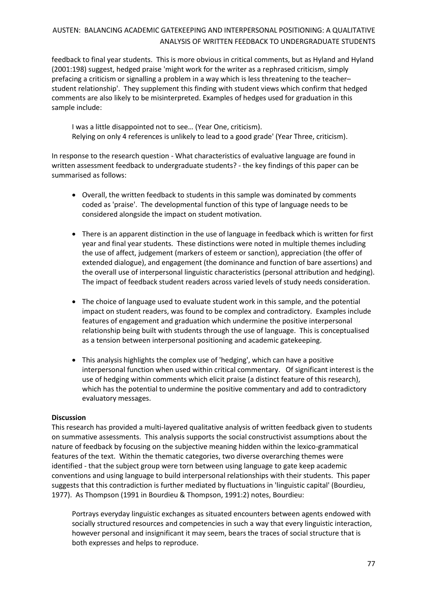feedback to final year students. This is more obvious in critical comments, but as Hyland and Hyland (2001:198) suggest, hedged praise 'might work for the writer as a rephrased criticism, simply prefacing a criticism or signalling a problem in a way which is less threatening to the teacher– student relationship'. They supplement this finding with student views which confirm that hedged comments are also likely to be misinterpreted. Examples of hedges used for graduation in this sample include:

I was a little disappointed not to see… (Year One, criticism). Relying on only 4 references is unlikely to lead to a good grade' (Year Three, criticism).

In response to the research question - What characteristics of evaluative language are found in written assessment feedback to undergraduate students? - the key findings of this paper can be summarised as follows:

- Overall, the written feedback to students in this sample was dominated by comments coded as 'praise'. The developmental function of this type of language needs to be considered alongside the impact on student motivation.
- There is an apparent distinction in the use of language in feedback which is written for first year and final year students. These distinctions were noted in multiple themes including the use of affect, judgement (markers of esteem or sanction), appreciation (the offer of extended dialogue), and engagement (the dominance and function of bare assertions) and the overall use of interpersonal linguistic characteristics (personal attribution and hedging). The impact of feedback student readers across varied levels of study needs consideration.
- The choice of language used to evaluate student work in this sample, and the potential impact on student readers, was found to be complex and contradictory. Examples include features of engagement and graduation which undermine the positive interpersonal relationship being built with students through the use of language. This is conceptualised as a tension between interpersonal positioning and academic gatekeeping.
- This analysis highlights the complex use of 'hedging', which can have a positive interpersonal function when used within critical commentary. Of significant interest is the use of hedging within comments which elicit praise (a distinct feature of this research), which has the potential to undermine the positive commentary and add to contradictory evaluatory messages.

### **Discussion**

This research has provided a multi-layered qualitative analysis of written feedback given to students on summative assessments. This analysis supports the social constructivist assumptions about the nature of feedback by focusing on the subjective meaning hidden within the lexico-grammatical features of the text. Within the thematic categories, two diverse overarching themes were identified - that the subject group were torn between using language to gate keep academic conventions and using language to build interpersonal relationships with their students. This paper suggests that this contradiction is further mediated by fluctuations in 'linguistic capital' (Bourdieu, 1977). As Thompson (1991 in Bourdieu & Thompson, 1991:2) notes, Bourdieu:

Portrays everyday linguistic exchanges as situated encounters between agents endowed with socially structured resources and competencies in such a way that every linguistic interaction, however personal and insignificant it may seem, bears the traces of social structure that is both expresses and helps to reproduce.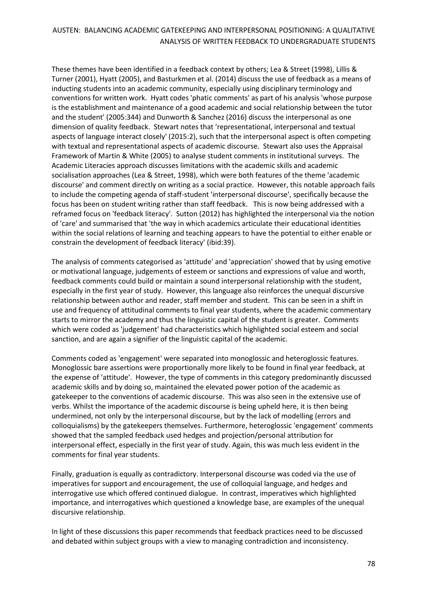These themes have been identified in a feedback context by others; Lea & Street (1998), Lillis & Turner (2001), Hyatt (2005), and Basturkmen et al. (2014) discuss the use of feedback as a means of inducting students into an academic community, especially using disciplinary terminology and conventions for written work. Hyatt codes 'phatic comments' as part of his analysis 'whose purpose is the establishment and maintenance of a good academic and social relationship between the tutor and the student' (2005:344) and Dunworth & Sanchez (2016) discuss the interpersonal as one dimension of quality feedback. Stewart notes that 'representational, interpersonal and textual aspects of language interact closely' (2015:2), such that the interpersonal aspect is often competing with textual and representational aspects of academic discourse. Stewart also uses the Appraisal Framework of Martin & White (2005) to analyse student comments in institutional surveys. The Academic Literacies approach discusses limitations with the academic skills and academic socialisation approaches (Lea & Street, 1998), which were both features of the theme 'academic discourse' and comment directly on writing as a social practice. However, this notable approach fails to include the competing agenda of staff-student 'interpersonal discourse', specifically because the focus has been on student writing rather than staff feedback. This is now being addressed with a reframed focus on 'feedback literacy'. Sutton (2012) has highlighted the interpersonal via the notion of 'care' and summarised that 'the way in which academics articulate their educational identities within the social relations of learning and teaching appears to have the potential to either enable or constrain the development of feedback literacy' (ibid:39).

The analysis of comments categorised as 'attitude' and 'appreciation' showed that by using emotive or motivational language, judgements of esteem or sanctions and expressions of value and worth, feedback comments could build or maintain a sound interpersonal relationship with the student, especially in the first year of study. However, this language also reinforces the unequal discursive relationship between author and reader, staff member and student. This can be seen in a shift in use and frequency of attitudinal comments to final year students, where the academic commentary starts to mirror the academy and thus the linguistic capital of the student is greater. Comments which were coded as 'judgement' had characteristics which highlighted social esteem and social sanction, and are again a signifier of the linguistic capital of the academic.

Comments coded as 'engagement' were separated into monoglossic and heteroglossic features. Monoglossic bare assertions were proportionally more likely to be found in final year feedback, at the expense of 'attitude'. However, the type of comments in this category predominantly discussed academic skills and by doing so, maintained the elevated power potion of the academic as gatekeeper to the conventions of academic discourse. This was also seen in the extensive use of verbs. Whilst the importance of the academic discourse is being upheld here, it is then being undermined, not only by the interpersonal discourse, but by the lack of modelling (errors and colloquialisms) by the gatekeepers themselves. Furthermore, heteroglossic 'engagement' comments showed that the sampled feedback used hedges and projection/personal attribution for interpersonal effect, especially in the first year of study. Again, this was much less evident in the comments for final year students.

Finally, graduation is equally as contradictory. Interpersonal discourse was coded via the use of imperatives for support and encouragement, the use of colloquial language, and hedges and interrogative use which offered continued dialogue. In contrast, imperatives which highlighted importance, and interrogatives which questioned a knowledge base, are examples of the unequal discursive relationship.

In light of these discussions this paper recommends that feedback practices need to be discussed and debated within subject groups with a view to managing contradiction and inconsistency.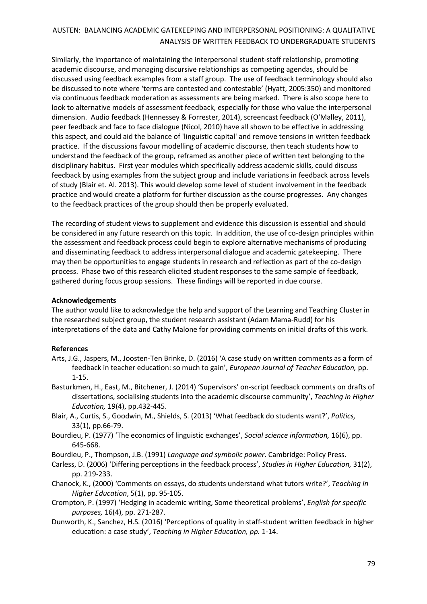Similarly, the importance of maintaining the interpersonal student-staff relationship, promoting academic discourse, and managing discursive relationships as competing agendas, should be discussed using feedback examples from a staff group. The use of feedback terminology should also be discussed to note where 'terms are contested and contestable' (Hyatt, 2005:350) and monitored via continuous feedback moderation as assessments are being marked. There is also scope here to look to alternative models of assessment feedback, especially for those who value the interpersonal dimension. Audio feedback (Hennessey & Forrester, 2014), screencast feedback (O'Malley, 2011), peer feedback and face to face dialogue (Nicol, 2010) have all shown to be effective in addressing this aspect, and could aid the balance of 'linguistic capital' and remove tensions in written feedback practice. If the discussions favour modelling of academic discourse, then teach students how to understand the feedback of the group, reframed as another piece of written text belonging to the disciplinary habitus. First year modules which specifically address academic skills, could discuss feedback by using examples from the subject group and include variations in feedback across levels of study (Blair et. Al. 2013). This would develop some level of student involvement in the feedback practice and would create a platform for further discussion as the course progresses. Any changes to the feedback practices of the group should then be properly evaluated.

The recording of student views to supplement and evidence this discussion is essential and should be considered in any future research on this topic. In addition, the use of co-design principles within the assessment and feedback process could begin to explore alternative mechanisms of producing and disseminating feedback to address interpersonal dialogue and academic gatekeeping. There may then be opportunities to engage students in research and reflection as part of the co-design process. Phase two of this research elicited student responses to the same sample of feedback, gathered during focus group sessions. These findings will be reported in due course.

### **Acknowledgements**

The author would like to acknowledge the help and support of the Learning and Teaching Cluster in the researched subject group, the student research assistant (Adam Mama-Rudd) for his interpretations of the data and Cathy Malone for providing comments on initial drafts of this work.

### **References**

- Arts, J.G., Jaspers, M., Joosten-Ten Brinke, D. (2016) 'A case study on written comments as a form of feedback in teacher education: so much to gain', *European Journal of Teacher Education,* pp. 1-15.
- Basturkmen, H., East, M., Bitchener, J. (2014) 'Supervisors' on-script feedback comments on drafts of dissertations, socialising students into the academic discourse community', *Teaching in Higher Education,* 19(4), pp.432-445.
- Blair, A., Curtis, S., Goodwin, M., Shields, S. (2013) 'What feedback do students want?', *Politics,*  33(1), pp.66-79.
- Bourdieu, P. (1977) 'The economics of linguistic exchanges', *Social science information,* 16(6), pp. 645-668.
- Bourdieu, P., Thompson, J.B. (1991) *Language and symbolic power*. Cambridge: Policy Press.
- Carless, D. (2006) 'Differing perceptions in the feedback process', *Studies in Higher Education,* 31(2), pp. 219-233.
- Chanock, K., (2000) 'Comments on essays, do students understand what tutors write?', *Teaching in Higher Education*, 5(1), pp. 95-105.
- Crompton, P. (1997) 'Hedging in academic writing, Some theoretical problems', *English for specific purposes,* 16(4), pp. 271-287.
- Dunworth, K., Sanchez, H.S. (2016) 'Perceptions of quality in staff-student written feedback in higher education: a case study', *Teaching in Higher Education, pp.* 1-14.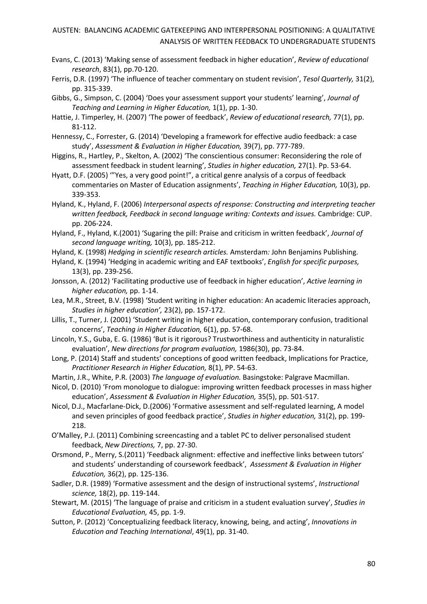- Evans, C. (2013) 'Making sense of assessment feedback in higher education', *Review of educational research*, 83(1), pp.70-120.
- Ferris, D.R. (1997) 'The influence of teacher commentary on student revision', *Tesol Quarterly,* 31(2), pp. 315-339.
- Gibbs, G., Simpson, C. (2004) 'Does your assessment support your students' learning', *Journal of Teaching and Learning in Higher Education,* 1(1), pp. 1-30.
- Hattie, J. Timperley, H. (2007) 'The power of feedback', *Review of educational research,* 77(1), pp. 81-112.
- Hennessy, C., Forrester, G. (2014) 'Developing a framework for effective audio feedback: a case study', *Assessment & Evaluation in Higher Education,* 39(7), pp. 777-789.
- Higgins, R., Hartley, P., Skelton, A. (2002) 'The conscientious consumer: Reconsidering the role of assessment feedback in student learning', *Studies in higher education,* 27(1). Pp. 53-64.
- Hyatt, D.F. (2005) '"Yes, a very good point!", a critical genre analysis of a corpus of feedback commentaries on Master of Education assignments', *Teaching in Higher Education,* 10(3), pp. 339-353.
- Hyland, K., Hyland, F. (2006) *Interpersonal aspects of response: Constructing and interpreting teacher written feedback, Feedback in second language writing: Contexts and issues.* Cambridge: CUP. pp. 206-224.
- Hyland, F., Hyland, K.(2001) 'Sugaring the pill: Praise and criticism in written feedback', *Journal of second language writing,* 10(3), pp. 185-212.
- Hyland, K. (1998) *Hedging in scientific research articles.* Amsterdam*:* John Benjamins Publishing.
- Hyland, K. (1994) 'Hedging in academic writing and EAF textbooks', *English for specific purposes,*  13(3), pp. 239-256.
- Jonsson, A. (2012) 'Facilitating productive use of feedback in higher education', *Active learning in higher education,* pp. 1-14.
- Lea, M.R., Street, B.V. (1998) 'Student writing in higher education: An academic literacies approach, *Studies in higher education',* 23(2), pp. 157-172.
- Lillis, T., Turner, J. (2001) 'Student writing in higher education, contemporary confusion, traditional concerns', *Teaching in Higher Education,* 6(1), pp. 57-68.
- Lincoln, Y.S., Guba, E. G. (1986) 'But is it rigorous? Trustworthiness and authenticity in naturalistic evaluation', *New directions for program evaluation,* 1986(30), pp. 73-84.
- Long, P. (2014) Staff and students' conceptions of good written feedback, Implications for Practice, *Practitioner Research in Higher Education,* 8(1), PP. 54-63.
- Martin, J.R., White, P.R. (2003) *The language of evaluation.* Basingstoke: Palgrave Macmillan.
- Nicol, D. (2010) 'From monologue to dialogue: improving written feedback processes in mass higher education', *Assessment & Evaluation in Higher Education,* 35(5), pp. 501-517.
- Nicol, D.J., Macfarlane‐Dick, D.(2006) 'Formative assessment and self‐regulated learning, A model and seven principles of good feedback practice', *Studies in higher education,* 31(2), pp. 199- 218.
- O'Malley, P.J. (2011) Combining screencasting and a tablet PC to deliver personalised student feedback, *New Directions,* 7, pp. 27-30.
- Orsmond, P., Merry, S.(2011) 'Feedback alignment: effective and ineffective links between tutors' and students' understanding of coursework feedback', *Assessment & Evaluation in Higher Education,* 36(2), pp. 125-136.
- Sadler, D.R. (1989) 'Formative assessment and the design of instructional systems', *Instructional science,* 18(2), pp. 119-144.
- Stewart, M. (2015) 'The language of praise and criticism in a student evaluation survey', *Studies in Educational Evaluation,* 45, pp. 1-9.
- Sutton, P. (2012) 'Conceptualizing feedback literacy, knowing, being, and acting', *Innovations in Education and Teaching International*, 49(1), pp. 31-40.